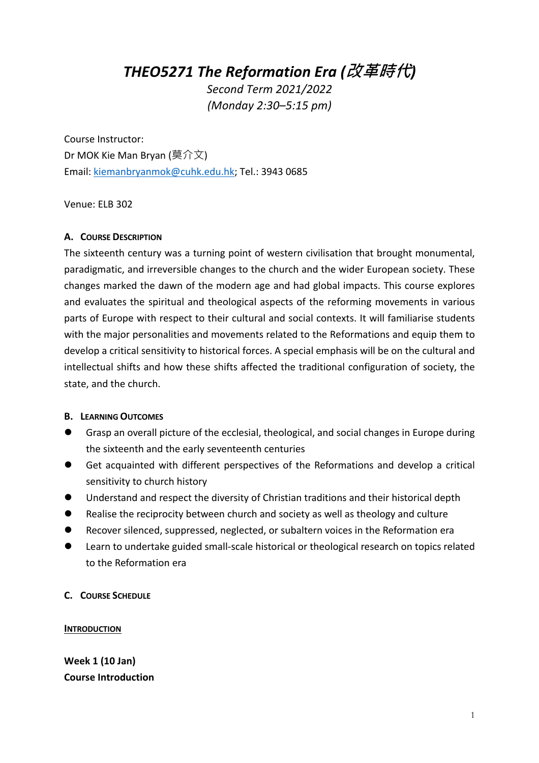*THEO5271 The Reformation Era (***改革時代***)*

*Second Term 2021/2022 (Monday 2:30–5:15 pm)* 

Course Instructor: Dr MOK Kie Man Bryan (莫介文) Email: kiemanbryanmok@cuhk.edu.hk; Tel.: 3943 0685

Venue: ELB 302

#### **A. COURSE DESCRIPTION**

The sixteenth century was a turning point of western civilisation that brought monumental, paradigmatic, and irreversible changes to the church and the wider European society. These changes marked the dawn of the modern age and had global impacts. This course explores and evaluates the spiritual and theological aspects of the reforming movements in various parts of Europe with respect to their cultural and social contexts. It will familiarise students with the major personalities and movements related to the Reformations and equip them to develop a critical sensitivity to historical forces. A special emphasis will be on the cultural and intellectual shifts and how these shifts affected the traditional configuration of society, the state, and the church.

#### **B. LEARNING OUTCOMES**

- l Grasp an overall picture of the ecclesial, theological, and social changes in Europe during the sixteenth and the early seventeenth centuries
- Get acquainted with different perspectives of the Reformations and develop a critical sensitivity to church history
- l Understand and respect the diversity of Christian traditions and their historical depth
- Realise the reciprocity between church and society as well as theology and culture
- l Recover silenced, suppressed, neglected, or subaltern voices in the Reformation era
- **•** Learn to undertake guided small-scale historical or theological research on topics related to the Reformation era

**C. COURSE SCHEDULE**

#### **INTRODUCTION**

**Week 1 (10 Jan) Course Introduction**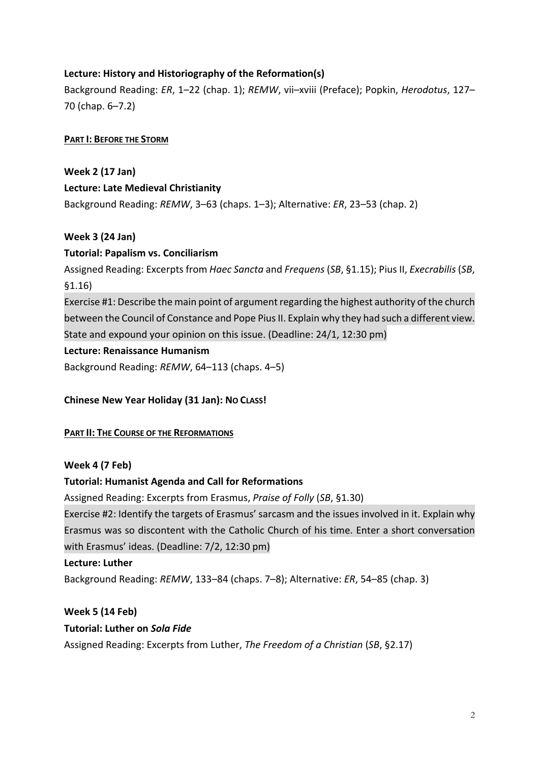## **Lecture: History and Historiography of the Reformation(s)**

Background Reading: *ER*, 1–22 (chap. 1); *REMW*, vii–xviii (Preface); Popkin, *Herodotus*, 127– 70 (chap. 6–7.2)

#### **PART I: BEFORE THE STORM**

**Week 2 (17 Jan) Lecture: Late Medieval Christianity** Background Reading: *REMW*, 3–63 (chaps. 1–3); Alternative: *ER*, 23–53 (chap. 2)

#### **Week 3 (24 Jan)**

#### **Tutorial: Papalism vs. Conciliarism**

Assigned Reading: Excerpts from *Haec Sancta* and *Frequens* (*SB*, §1.15); Pius II, *Execrabilis* (*SB*, §1.16)

Exercise #1: Describe the main point of argument regarding the highest authority of the church between the Council of Constance and Pope Pius II. Explain why they had such a different view. State and expound your opinion on this issue. (Deadline: 24/1, 12:30 pm)

#### **Lecture: Renaissance Humanism**

Background Reading: *REMW*, 64–113 (chaps. 4–5)

### **Chinese New Year Holiday (31 Jan): NO CLASS!**

#### **PART II: THE COURSE OF THE REFORMATIONS**

#### **Week 4 (7 Feb)**

### **Tutorial: Humanist Agenda and Call for Reformations**

Assigned Reading: Excerpts from Erasmus, *Praise of Folly* (*SB*, §1.30)

Exercise #2: Identify the targets of Erasmus' sarcasm and the issues involved in it. Explain why Erasmus was so discontent with the Catholic Church of his time. Enter a short conversation with Erasmus' ideas. (Deadline: 7/2, 12:30 pm)

#### **Lecture: Luther**

Background Reading: *REMW*, 133–84 (chaps. 7–8); Alternative: *ER*, 54–85 (chap. 3)

#### **Week 5 (14 Feb)**

### **Tutorial: Luther on** *Sola Fide*

Assigned Reading: Excerpts from Luther, *The Freedom of a Christian* (*SB*, §2.17)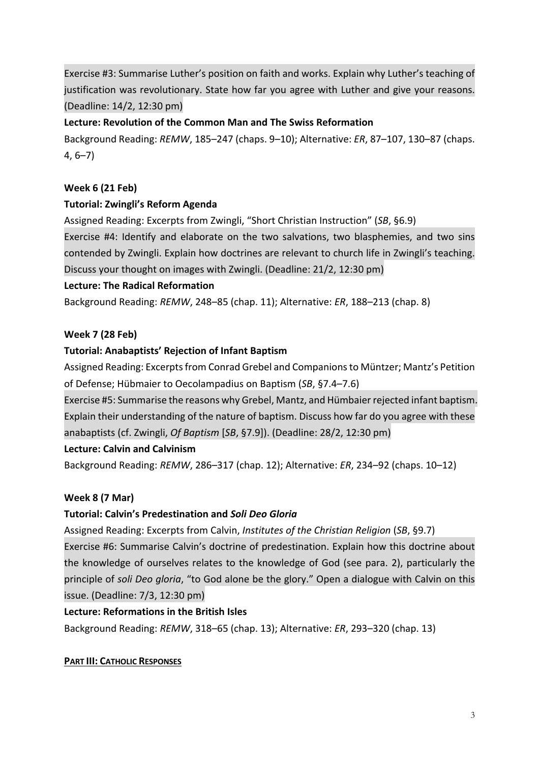Exercise #3: Summarise Luther's position on faith and works. Explain why Luther's teaching of justification was revolutionary. State how far you agree with Luther and give your reasons. (Deadline: 14/2, 12:30 pm)

### **Lecture: Revolution of the Common Man and The Swiss Reformation**

Background Reading: *REMW*, 185–247 (chaps. 9–10); Alternative: *ER*, 87–107, 130–87 (chaps. 4, 6–7)

## **Week 6 (21 Feb)**

## **Tutorial: Zwingli's Reform Agenda**

Assigned Reading: Excerpts from Zwingli, "Short Christian Instruction" (*SB*, §6.9)

Exercise #4: Identify and elaborate on the two salvations, two blasphemies, and two sins contended by Zwingli. Explain how doctrines are relevant to church life in Zwingli's teaching. Discuss your thought on images with Zwingli. (Deadline: 21/2, 12:30 pm)

### **Lecture: The Radical Reformation**

Background Reading: *REMW*, 248–85 (chap. 11); Alternative: *ER*, 188–213 (chap. 8)

### **Week 7 (28 Feb)**

### **Tutorial: Anabaptists' Rejection of Infant Baptism**

Assigned Reading: Excerpts from Conrad Grebel and Companions to Müntzer; Mantz's Petition of Defense; Hübmaier to Oecolampadius on Baptism (*SB*, §7.4–7.6)

Exercise #5: Summarise the reasons why Grebel, Mantz, and Hümbaierrejected infant baptism. Explain their understanding of the nature of baptism. Discuss how far do you agree with these anabaptists (cf. Zwingli, *Of Baptism* [*SB*, §7.9]). (Deadline: 28/2, 12:30 pm)

### **Lecture: Calvin and Calvinism**

Background Reading: *REMW*, 286–317 (chap. 12); Alternative: *ER*, 234–92 (chaps. 10–12)

### **Week 8 (7 Mar)**

## **Tutorial: Calvin's Predestination and** *Soli Deo Gloria*

Assigned Reading: Excerpts from Calvin, *Institutes of the Christian Religion* (*SB*, §9.7)

Exercise #6: Summarise Calvin's doctrine of predestination. Explain how this doctrine about the knowledge of ourselves relates to the knowledge of God (see para. 2), particularly the principle of *soli Deo gloria*, "to God alone be the glory." Open a dialogue with Calvin on this issue. (Deadline: 7/3, 12:30 pm)

### **Lecture: Reformations in the British Isles**

Background Reading: *REMW*, 318–65 (chap. 13); Alternative: *ER*, 293–320 (chap. 13)

### **PART III: CATHOLIC RESPONSES**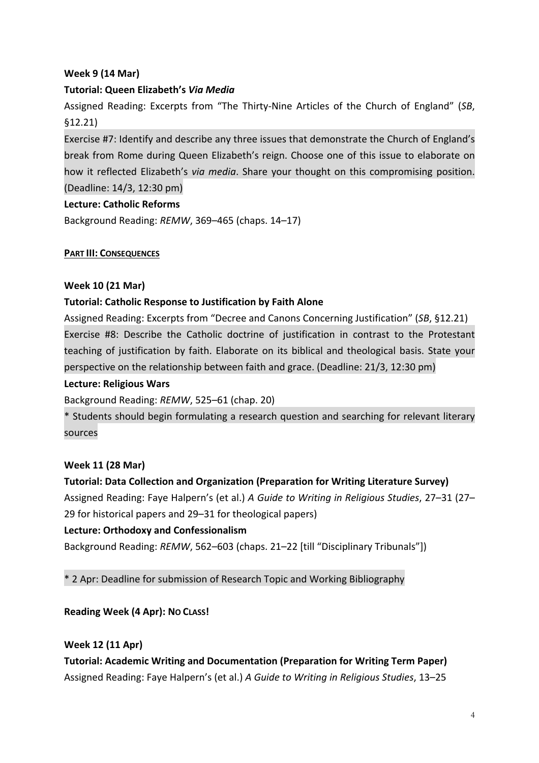## **Week 9 (14 Mar)**

## **Tutorial: Queen Elizabeth's** *Via Media*

Assigned Reading: Excerpts from "The Thirty-Nine Articles of the Church of England" (*SB*, §12.21)

Exercise #7: Identify and describe any three issues that demonstrate the Church of England's break from Rome during Queen Elizabeth's reign. Choose one of this issue to elaborate on how it reflected Elizabeth's *via media*. Share your thought on this compromising position. (Deadline: 14/3, 12:30 pm)

### **Lecture: Catholic Reforms**

Background Reading: *REMW*, 369–465 (chaps. 14–17)

#### **PART III: CONSEQUENCES**

#### **Week 10 (21 Mar)**

### **Tutorial: Catholic Response to Justification by Faith Alone**

Assigned Reading: Excerpts from "Decree and Canons Concerning Justification" (*SB*, §12.21) Exercise #8: Describe the Catholic doctrine of justification in contrast to the Protestant teaching of justification by faith. Elaborate on its biblical and theological basis. State your perspective on the relationship between faith and grace. (Deadline: 21/3, 12:30 pm)

#### **Lecture: Religious Wars**

Background Reading: *REMW*, 525–61 (chap. 20)

\* Students should begin formulating a research question and searching for relevant literary sources

### **Week 11 (28 Mar)**

### **Tutorial: Data Collection and Organization (Preparation for Writing Literature Survey)**

Assigned Reading: Faye Halpern's (et al.) *A Guide to Writing in Religious Studies*, 27–31 (27– 29 for historical papers and 29–31 for theological papers)

### **Lecture: Orthodoxy and Confessionalism**

Background Reading: *REMW*, 562–603 (chaps. 21–22 [till "Disciplinary Tribunals"])

\* 2 Apr: Deadline for submission of Research Topic and Working Bibliography

### **Reading Week (4 Apr): NO CLASS!**

#### **Week 12 (11 Apr)**

**Tutorial: Academic Writing and Documentation (Preparation for Writing Term Paper)** Assigned Reading: Faye Halpern's (et al.) *A Guide to Writing in Religious Studies*, 13–25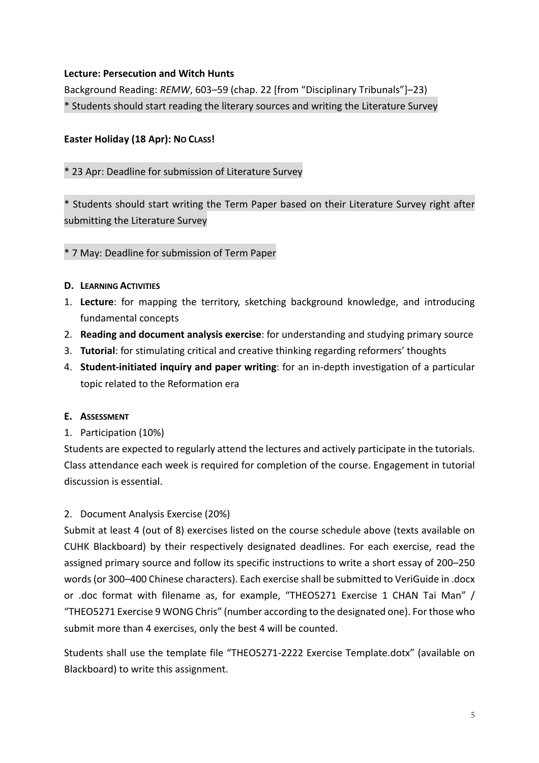### **Lecture: Persecution and Witch Hunts**

Background Reading: *REMW*, 603–59 (chap. 22 [from "Disciplinary Tribunals"]–23) \* Students should start reading the literary sources and writing the Literature Survey

## **Easter Holiday (18 Apr): NO CLASS!**

## \* 23 Apr: Deadline for submission of Literature Survey

\* Students should start writing the Term Paper based on their Literature Survey right after submitting the Literature Survey

### \* 7 May: Deadline for submission of Term Paper

- **D. LEARNING ACTIVITIES**
- 1. **Lecture**: for mapping the territory, sketching background knowledge, and introducing fundamental concepts
- 2. **Reading and document analysis exercise**: for understanding and studying primary source
- 3. **Tutorial**: for stimulating critical and creative thinking regarding reformers' thoughts
- 4. **Student-initiated inquiry and paper writing**: for an in-depth investigation of a particular topic related to the Reformation era

### **E. ASSESSMENT**

1. Participation (10%)

Students are expected to regularly attend the lectures and actively participate in the tutorials. Class attendance each week is required for completion of the course. Engagement in tutorial discussion is essential.

### 2. Document Analysis Exercise (20%)

Submit at least 4 (out of 8) exercises listed on the course schedule above (texts available on CUHK Blackboard) by their respectively designated deadlines. For each exercise, read the assigned primary source and follow its specific instructions to write a short essay of 200–250 words (or 300–400 Chinese characters). Each exercise shall be submitted to VeriGuide in .docx or .doc format with filename as, for example, "THEO5271 Exercise 1 CHAN Tai Man" / "THEO5271 Exercise 9 WONG Chris" (number according to the designated one). For those who submit more than 4 exercises, only the best 4 will be counted.

Students shall use the template file "THEO5271-2222 Exercise Template.dotx" (available on Blackboard) to write this assignment.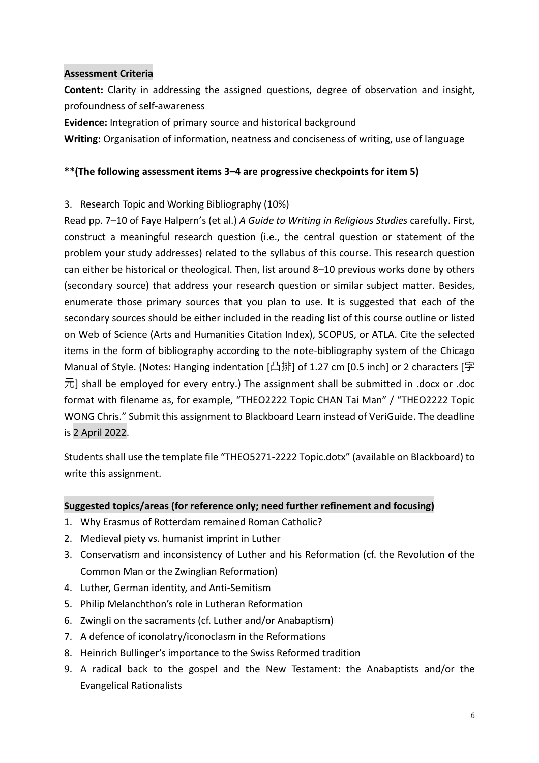### **Assessment Criteria**

**Content:** Clarity in addressing the assigned questions, degree of observation and insight, profoundness of self-awareness

**Evidence:** Integration of primary source and historical background

**Writing:** Organisation of information, neatness and conciseness of writing, use of language

### **\*\*(The following assessment items 3–4 are progressive checkpoints for item 5)**

### 3. Research Topic and Working Bibliography (10%)

Read pp. 7–10 of Faye Halpern's (et al.) *A Guide to Writing in Religious Studies* carefully. First, construct a meaningful research question (i.e., the central question or statement of the problem your study addresses) related to the syllabus of this course. This research question can either be historical or theological. Then, list around 8–10 previous works done by others (secondary source) that address your research question or similar subject matter. Besides, enumerate those primary sources that you plan to use. It is suggested that each of the secondary sources should be either included in the reading list of this course outline or listed on Web of Science (Arts and Humanities Citation Index), SCOPUS, or ATLA. Cite the selected items in the form of bibliography according to the note-bibliography system of the Chicago Manual of Style. (Notes: Hanging indentation [凸排] of 1.27 cm [0.5 inch] or 2 characters [字  $\overline{\pi}$ ] shall be employed for every entry.) The assignment shall be submitted in .docx or .doc format with filename as, for example, "THEO2222 Topic CHAN Tai Man" / "THEO2222 Topic WONG Chris." Submit this assignment to Blackboard Learn instead of VeriGuide. The deadline is 2 April 2022.

Students shall use the template file "THEO5271-2222 Topic.dotx" (available on Blackboard) to write this assignment.

### **Suggested topics/areas (for reference only; need further refinement and focusing)**

- 1. Why Erasmus of Rotterdam remained Roman Catholic?
- 2. Medieval piety vs. humanist imprint in Luther
- 3. Conservatism and inconsistency of Luther and his Reformation (cf. the Revolution of the Common Man or the Zwinglian Reformation)
- 4. Luther, German identity, and Anti-Semitism
- 5. Philip Melanchthon's role in Lutheran Reformation
- 6. Zwingli on the sacraments (cf. Luther and/or Anabaptism)
- 7. A defence of iconolatry/iconoclasm in the Reformations
- 8. Heinrich Bullinger's importance to the Swiss Reformed tradition
- 9. A radical back to the gospel and the New Testament: the Anabaptists and/or the Evangelical Rationalists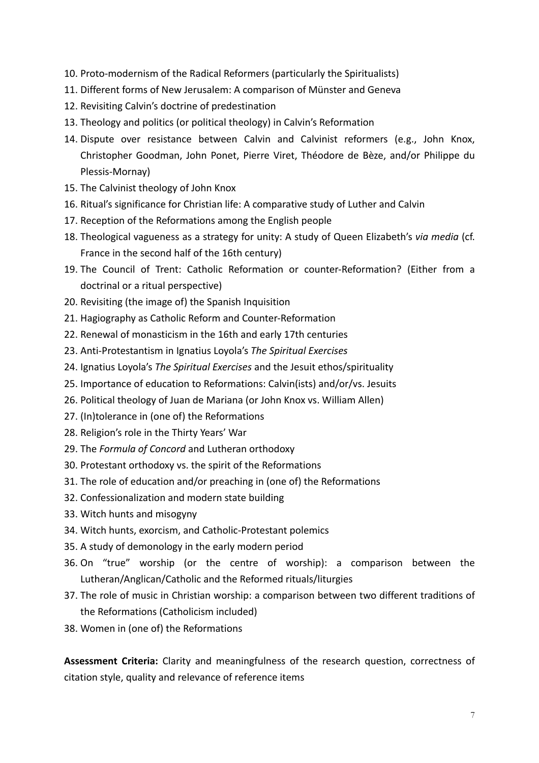- 10. Proto-modernism of the Radical Reformers (particularly the Spiritualists)
- 11. Different forms of New Jerusalem: A comparison of Münster and Geneva
- 12. Revisiting Calvin's doctrine of predestination
- 13. Theology and politics (or political theology) in Calvin's Reformation
- 14. Dispute over resistance between Calvin and Calvinist reformers (e.g., John Knox, Christopher Goodman, John Ponet, Pierre Viret, Théodore de Bèze, and/or Philippe du Plessis-Mornay)
- 15. The Calvinist theology of John Knox
- 16. Ritual's significance for Christian life: A comparative study of Luther and Calvin
- 17. Reception of the Reformations among the English people
- 18. Theological vagueness as a strategy for unity: A study of Queen Elizabeth's *via media* (cf. France in the second half of the 16th century)
- 19. The Council of Trent: Catholic Reformation or counter-Reformation? (Either from a doctrinal or a ritual perspective)
- 20. Revisiting (the image of) the Spanish Inquisition
- 21. Hagiography as Catholic Reform and Counter-Reformation
- 22. Renewal of monasticism in the 16th and early 17th centuries
- 23. Anti-Protestantism in Ignatius Loyola's *The Spiritual Exercises*
- 24. Ignatius Loyola's *The Spiritual Exercises* and the Jesuit ethos/spirituality
- 25. Importance of education to Reformations: Calvin(ists) and/or/vs. Jesuits
- 26. Political theology of Juan de Mariana (or John Knox vs. William Allen)
- 27. (In)tolerance in (one of) the Reformations
- 28. Religion's role in the Thirty Years' War
- 29. The *Formula of Concord* and Lutheran orthodoxy
- 30. Protestant orthodoxy vs. the spirit of the Reformations
- 31. The role of education and/or preaching in (one of) the Reformations
- 32. Confessionalization and modern state building
- 33. Witch hunts and misogyny
- 34. Witch hunts, exorcism, and Catholic-Protestant polemics
- 35. A study of demonology in the early modern period
- 36. On "true" worship (or the centre of worship): a comparison between the Lutheran/Anglican/Catholic and the Reformed rituals/liturgies
- 37. The role of music in Christian worship: a comparison between two different traditions of the Reformations (Catholicism included)
- 38. Women in (one of) the Reformations

**Assessment Criteria:** Clarity and meaningfulness of the research question, correctness of citation style, quality and relevance of reference items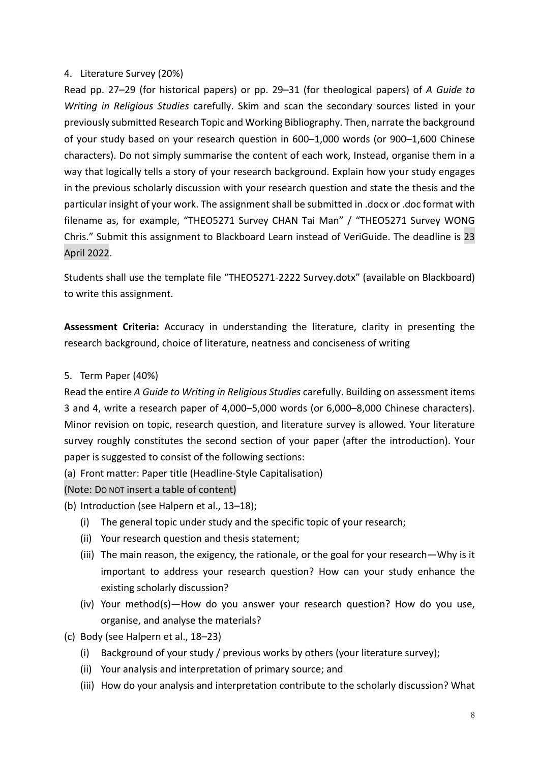#### 4. Literature Survey (20%)

Read pp. 27–29 (for historical papers) or pp. 29–31 (for theological papers) of *A Guide to Writing in Religious Studies* carefully. Skim and scan the secondary sources listed in your previously submitted Research Topic and Working Bibliography. Then, narrate the background of your study based on your research question in 600–1,000 words (or 900–1,600 Chinese characters). Do not simply summarise the content of each work, Instead, organise them in a way that logically tells a story of your research background. Explain how your study engages in the previous scholarly discussion with your research question and state the thesis and the particular insight of your work. The assignment shall be submitted in .docx or .doc format with filename as, for example, "THEO5271 Survey CHAN Tai Man" / "THEO5271 Survey WONG Chris." Submit this assignment to Blackboard Learn instead of VeriGuide. The deadline is 23 April 2022.

Students shall use the template file "THEO5271-2222 Survey.dotx" (available on Blackboard) to write this assignment.

**Assessment Criteria:** Accuracy in understanding the literature, clarity in presenting the research background, choice of literature, neatness and conciseness of writing

#### 5. Term Paper (40%)

Read the entire *A Guide to Writing in Religious Studies* carefully. Building on assessment items 3 and 4, write a research paper of 4,000–5,000 words (or 6,000–8,000 Chinese characters). Minor revision on topic, research question, and literature survey is allowed. Your literature survey roughly constitutes the second section of your paper (after the introduction). Your paper is suggested to consist of the following sections:

(a) Front matter: Paper title (Headline-Style Capitalisation)

(Note: DO NOT insert a table of content)

- (b) Introduction (see Halpern et al., 13–18);
	- (i) The general topic under study and the specific topic of your research;
	- (ii) Your research question and thesis statement;
	- (iii) The main reason, the exigency, the rationale, or the goal for your research—Why is it important to address your research question? How can your study enhance the existing scholarly discussion?
	- (iv) Your method(s)—How do you answer your research question? How do you use, organise, and analyse the materials?
- (c) Body (see Halpern et al., 18–23)
	- (i) Background of your study / previous works by others (your literature survey);
	- (ii) Your analysis and interpretation of primary source; and
	- (iii) How do your analysis and interpretation contribute to the scholarly discussion? What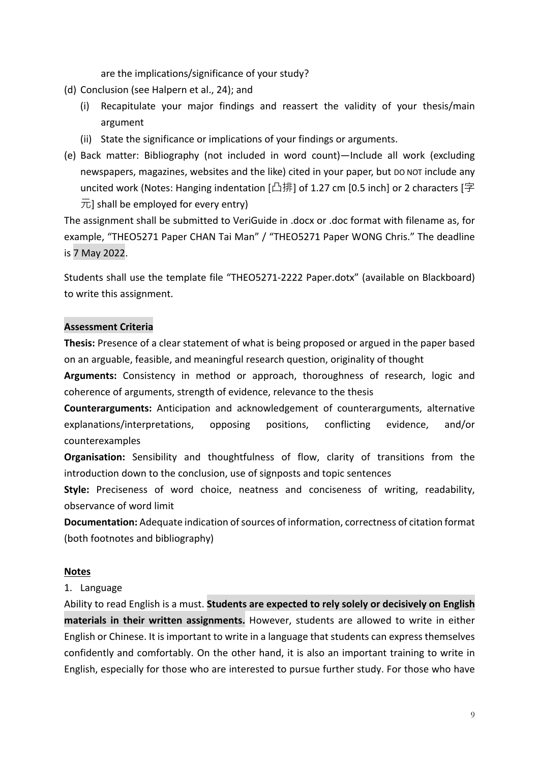are the implications/significance of your study?

- (d) Conclusion (see Halpern et al., 24); and
	- (i) Recapitulate your major findings and reassert the validity of your thesis/main argument
	- (ii) State the significance or implications of your findings or arguments.
- (e) Back matter: Bibliography (not included in word count)—Include all work (excluding newspapers, magazines, websites and the like) cited in your paper, but DO NOT include any uncited work (Notes: Hanging indentation [凸排] of 1.27 cm [0.5 inch] or 2 characters [字  $\overline{\pi}$ ] shall be employed for every entry)

The assignment shall be submitted to VeriGuide in .docx or .doc format with filename as, for example, "THEO5271 Paper CHAN Tai Man" / "THEO5271 Paper WONG Chris." The deadline is 7 May 2022.

Students shall use the template file "THEO5271-2222 Paper.dotx" (available on Blackboard) to write this assignment.

#### **Assessment Criteria**

**Thesis:** Presence of a clear statement of what is being proposed or argued in the paper based on an arguable, feasible, and meaningful research question, originality of thought

**Arguments:** Consistency in method or approach, thoroughness of research, logic and coherence of arguments, strength of evidence, relevance to the thesis

**Counterarguments:** Anticipation and acknowledgement of counterarguments, alternative explanations/interpretations, opposing positions, conflicting evidence, and/or counterexamples

**Organisation:** Sensibility and thoughtfulness of flow, clarity of transitions from the introduction down to the conclusion, use of signposts and topic sentences

**Style:** Preciseness of word choice, neatness and conciseness of writing, readability, observance of word limit

**Documentation:** Adequate indication of sources of information, correctness of citation format (both footnotes and bibliography)

#### **Notes**

#### 1. Language

Ability to read English is a must. **Students are expected to rely solely or decisively on English materials in their written assignments.** However, students are allowed to write in either English or Chinese. It is important to write in a language that students can express themselves confidently and comfortably. On the other hand, it is also an important training to write in English, especially for those who are interested to pursue further study. For those who have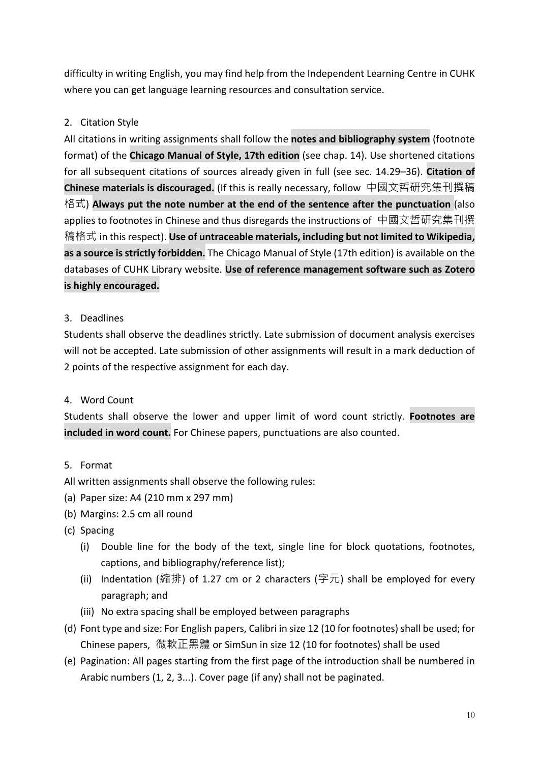difficulty in writing English, you may find help from the Independent Learning Centre in CUHK where you can get language learning resources and consultation service.

# 2. Citation Style

All citations in writing assignments shall follow the **notes and bibliography system** (footnote format) of the **Chicago Manual of Style, 17th edition** (see chap. 14). Use shortened citations for all subsequent citations of sources already given in full (see sec. 14.29–36). **Citation of Chinese materials is discouraged.** (If this is really necessary, follow 中國文哲研究集刊撰稿 格式) **Always put the note number at the end of the sentence after the punctuation** (also applies to footnotes in Chinese and thus disregards the instructions of 中國文哲研究集刊撰 稿格式 in this respect). **Use of untraceable materials, including but not limited to Wikipedia, as a source is strictly forbidden.** The Chicago Manual of Style (17th edition) is available on the databases of CUHK Library website. **Use of reference management software such as Zotero is highly encouraged.**

## 3. Deadlines

Students shall observe the deadlines strictly. Late submission of document analysis exercises will not be accepted. Late submission of other assignments will result in a mark deduction of 2 points of the respective assignment for each day.

## 4. Word Count

Students shall observe the lower and upper limit of word count strictly. **Footnotes are included in word count.** For Chinese papers, punctuations are also counted.

## 5. Format

- All written assignments shall observe the following rules:
- (a) Paper size: A4 (210 mm x 297 mm)
- (b) Margins: 2.5 cm all round
- (c) Spacing
	- (i) Double line for the body of the text, single line for block quotations, footnotes, captions, and bibliography/reference list);
	- (ii) Indentation (縮排) of 1.27 cm or 2 characters (字元) shall be employed for every paragraph; and
	- (iii) No extra spacing shall be employed between paragraphs
- (d) Font type and size: For English papers, Calibri in size 12 (10 for footnotes) shall be used; for Chinese papers, 微軟正黑體 or SimSun in size 12 (10 for footnotes) shall be used
- (e) Pagination: All pages starting from the first page of the introduction shall be numbered in Arabic numbers (1, 2, 3...). Cover page (if any) shall not be paginated.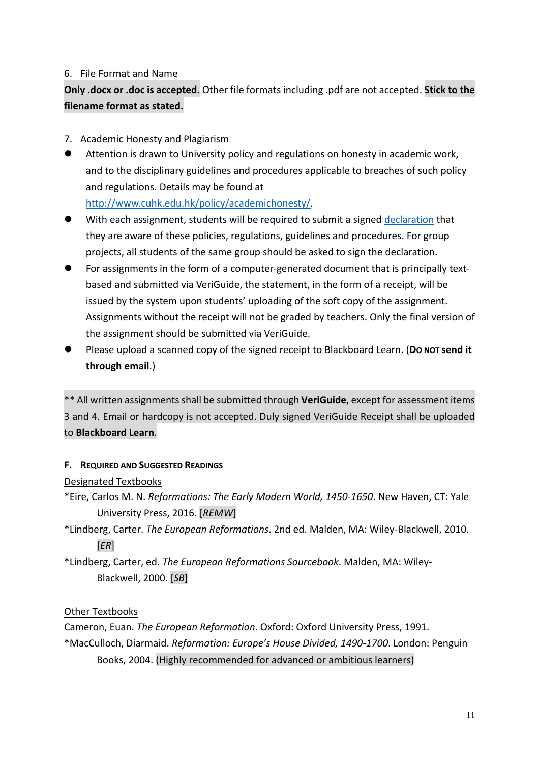### 6. File Format and Name

**Only .docx or .doc is accepted.** Other file formats including .pdf are not accepted. **Stick to the filename format as stated.**

- 7. Academic Honesty and Plagiarism
- l Attention is drawn to University policy and regulations on honesty in academic work, and to the disciplinary guidelines and procedures applicable to breaches of such policy and regulations. Details may be found at

http://www.cuhk.edu.hk/policy/academichonesty/.

- **With each assignment, students will be required to submit a signed declaration that** they are aware of these policies, regulations, guidelines and procedures. For group projects, all students of the same group should be asked to sign the declaration.
- For assignments in the form of a computer-generated document that is principally textbased and submitted via VeriGuide, the statement, in the form of a receipt, will be issued by the system upon students' uploading of the soft copy of the assignment. Assignments without the receipt will not be graded by teachers. Only the final version of the assignment should be submitted via VeriGuide.
- l Please upload a scanned copy of the signed receipt to Blackboard Learn. (**DO NOT send it through email**.)

\*\* All written assignments shall be submitted through **VeriGuide**, except for assessment items 3 and 4. Email or hardcopy is not accepted. Duly signed VeriGuide Receipt shall be uploaded to **Blackboard Learn**.

## **F. REQUIRED AND SUGGESTED READINGS**

## Designated Textbooks

- \*Eire, Carlos M. N. *Reformations: The Early Modern World, 1450-1650*. New Haven, CT: Yale University Press, 2016. [*REMW*]
- \*Lindberg, Carter. *The European Reformations*. 2nd ed. Malden, MA: Wiley-Blackwell, 2010. [*ER*]
- \*Lindberg, Carter, ed. *The European Reformations Sourcebook*. Malden, MA: Wiley-Blackwell, 2000. [*SB*]

## Other Textbooks

Cameron, Euan. *The European Reformation*. Oxford: Oxford University Press, 1991. \*MacCulloch, Diarmaid. *Reformation: Europe's House Divided, 1490-1700*. London: Penguin Books, 2004. (Highly recommended for advanced or ambitious learners)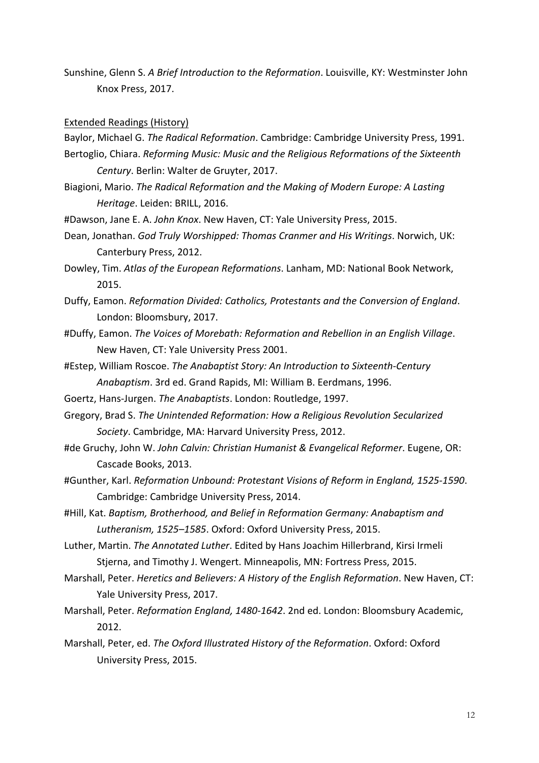Sunshine, Glenn S. *A Brief Introduction to the Reformation*. Louisville, KY: Westminster John Knox Press, 2017.

#### Extended Readings (History)

Baylor, Michael G. *The Radical Reformation*. Cambridge: Cambridge University Press, 1991. Bertoglio, Chiara. *Reforming Music: Music and the Religious Reformations of the Sixteenth* 

- *Century*. Berlin: Walter de Gruyter, 2017.
- Biagioni, Mario. *The Radical Reformation and the Making of Modern Europe: A Lasting Heritage*. Leiden: BRILL, 2016.
- #Dawson, Jane E. A. *John Knox*. New Haven, CT: Yale University Press, 2015.
- Dean, Jonathan. *God Truly Worshipped: Thomas Cranmer and His Writings*. Norwich, UK: Canterbury Press, 2012.

Dowley, Tim. *Atlas of the European Reformations*. Lanham, MD: National Book Network, 2015.

- Duffy, Eamon. *Reformation Divided: Catholics, Protestants and the Conversion of England*. London: Bloomsbury, 2017.
- #Duffy, Eamon. *The Voices of Morebath: Reformation and Rebellion in an English Village*. New Haven, CT: Yale University Press 2001.
- #Estep, William Roscoe. *The Anabaptist Story: An Introduction to Sixteenth-Century Anabaptism*. 3rd ed. Grand Rapids, MI: William B. Eerdmans, 1996.
- Goertz, Hans-Jurgen. *The Anabaptists*. London: Routledge, 1997.
- Gregory, Brad S. *The Unintended Reformation: How a Religious Revolution Secularized Society*. Cambridge, MA: Harvard University Press, 2012.
- #de Gruchy, John W. *John Calvin: Christian Humanist & Evangelical Reformer*. Eugene, OR: Cascade Books, 2013.
- #Gunther, Karl. *Reformation Unbound: Protestant Visions of Reform in England, 1525-1590*. Cambridge: Cambridge University Press, 2014.
- #Hill, Kat. *Baptism, Brotherhood, and Belief in Reformation Germany: Anabaptism and Lutheranism, 1525–1585*. Oxford: Oxford University Press, 2015.
- Luther, Martin. *The Annotated Luther*. Edited by Hans Joachim Hillerbrand, Kirsi Irmeli Stjerna, and Timothy J. Wengert. Minneapolis, MN: Fortress Press, 2015.
- Marshall, Peter. *Heretics and Believers: A History of the English Reformation*. New Haven, CT: Yale University Press, 2017.
- Marshall, Peter. *Reformation England, 1480-1642*. 2nd ed. London: Bloomsbury Academic, 2012.
- Marshall, Peter, ed. *The Oxford Illustrated History of the Reformation*. Oxford: Oxford University Press, 2015.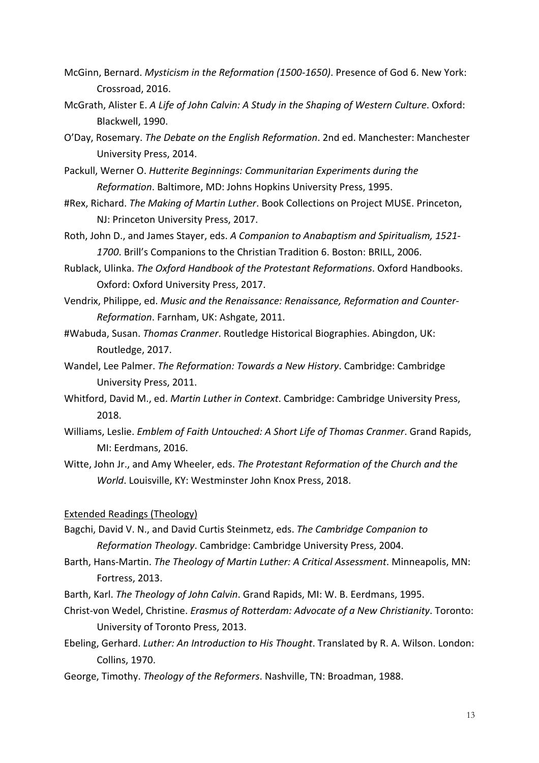- McGinn, Bernard. *Mysticism in the Reformation (1500-1650)*. Presence of God 6. New York: Crossroad, 2016.
- McGrath, Alister E. *A Life of John Calvin: A Study in the Shaping of Western Culture*. Oxford: Blackwell, 1990.
- O'Day, Rosemary. *The Debate on the English Reformation*. 2nd ed. Manchester: Manchester University Press, 2014.
- Packull, Werner O. *Hutterite Beginnings: Communitarian Experiments during the Reformation*. Baltimore, MD: Johns Hopkins University Press, 1995.
- #Rex, Richard. *The Making of Martin Luther*. Book Collections on Project MUSE. Princeton, NJ: Princeton University Press, 2017.
- Roth, John D., and James Stayer, eds. *A Companion to Anabaptism and Spiritualism, 1521- 1700*. Brill's Companions to the Christian Tradition 6. Boston: BRILL, 2006.
- Rublack, Ulinka. *The Oxford Handbook of the Protestant Reformations*. Oxford Handbooks. Oxford: Oxford University Press, 2017.
- Vendrix, Philippe, ed. *Music and the Renaissance: Renaissance, Reformation and Counter-Reformation*. Farnham, UK: Ashgate, 2011.
- #Wabuda, Susan. *Thomas Cranmer*. Routledge Historical Biographies. Abingdon, UK: Routledge, 2017.
- Wandel, Lee Palmer. *The Reformation: Towards a New History*. Cambridge: Cambridge University Press, 2011.
- Whitford, David M., ed. *Martin Luther in Context*. Cambridge: Cambridge University Press, 2018.
- Williams, Leslie. *Emblem of Faith Untouched: A Short Life of Thomas Cranmer*. Grand Rapids, MI: Eerdmans, 2016.
- Witte, John Jr., and Amy Wheeler, eds. *The Protestant Reformation of the Church and the World*. Louisville, KY: Westminster John Knox Press, 2018.
- Extended Readings (Theology)
- Bagchi, David V. N., and David Curtis Steinmetz, eds. *The Cambridge Companion to Reformation Theology*. Cambridge: Cambridge University Press, 2004.
- Barth, Hans-Martin. *The Theology of Martin Luther: A Critical Assessment*. Minneapolis, MN: Fortress, 2013.
- Barth, Karl. *The Theology of John Calvin*. Grand Rapids, MI: W. B. Eerdmans, 1995.
- Christ-von Wedel, Christine. *Erasmus of Rotterdam: Advocate of a New Christianity*. Toronto: University of Toronto Press, 2013.
- Ebeling, Gerhard. *Luther: An Introduction to His Thought*. Translated by R. A. Wilson. London: Collins, 1970.
- George, Timothy. *Theology of the Reformers*. Nashville, TN: Broadman, 1988.